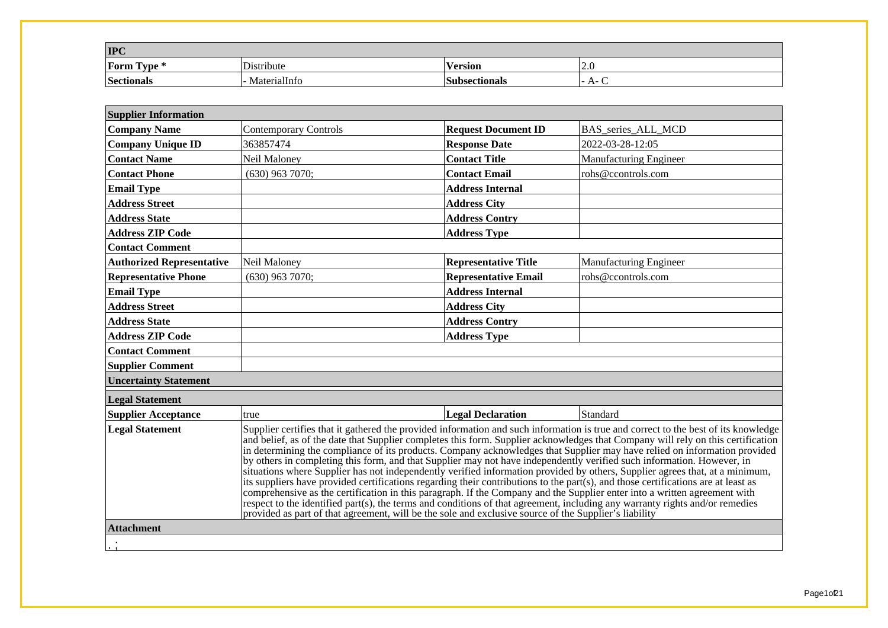| <b>IPC</b>               |              |                       |              |
|--------------------------|--------------|-----------------------|--------------|
| $\sim$<br>Form<br>Uvpe * | Distribute   | --<br><b>Version</b>  | 14.U         |
| Sectionals               | MaterialInfo | <b> Subsectionals</b> | $A -$<br>. . |

| <b>Supplier Information</b>                                                                                                                                                                                                                                                                                                                                                                                                                                                                                                                                                                                                                                                                                                                                                                                                                                                                                                                                                                                                                                                                                                                                                                        |                              |                             |                               |  |  |  |
|----------------------------------------------------------------------------------------------------------------------------------------------------------------------------------------------------------------------------------------------------------------------------------------------------------------------------------------------------------------------------------------------------------------------------------------------------------------------------------------------------------------------------------------------------------------------------------------------------------------------------------------------------------------------------------------------------------------------------------------------------------------------------------------------------------------------------------------------------------------------------------------------------------------------------------------------------------------------------------------------------------------------------------------------------------------------------------------------------------------------------------------------------------------------------------------------------|------------------------------|-----------------------------|-------------------------------|--|--|--|
| <b>Company Name</b>                                                                                                                                                                                                                                                                                                                                                                                                                                                                                                                                                                                                                                                                                                                                                                                                                                                                                                                                                                                                                                                                                                                                                                                | <b>Contemporary Controls</b> | <b>Request Document ID</b>  | BAS series ALL MCD            |  |  |  |
| <b>Company Unique ID</b>                                                                                                                                                                                                                                                                                                                                                                                                                                                                                                                                                                                                                                                                                                                                                                                                                                                                                                                                                                                                                                                                                                                                                                           | 363857474                    | <b>Response Date</b>        | 2022-03-28-12:05              |  |  |  |
| <b>Contact Name</b>                                                                                                                                                                                                                                                                                                                                                                                                                                                                                                                                                                                                                                                                                                                                                                                                                                                                                                                                                                                                                                                                                                                                                                                | Neil Maloney                 | <b>Contact Title</b>        | Manufacturing Engineer        |  |  |  |
| <b>Contact Phone</b>                                                                                                                                                                                                                                                                                                                                                                                                                                                                                                                                                                                                                                                                                                                                                                                                                                                                                                                                                                                                                                                                                                                                                                               | $(630)$ 963 7070;            | <b>Contact Email</b>        | rohs@ccontrols.com            |  |  |  |
| <b>Email Type</b>                                                                                                                                                                                                                                                                                                                                                                                                                                                                                                                                                                                                                                                                                                                                                                                                                                                                                                                                                                                                                                                                                                                                                                                  |                              | <b>Address Internal</b>     |                               |  |  |  |
| <b>Address Street</b>                                                                                                                                                                                                                                                                                                                                                                                                                                                                                                                                                                                                                                                                                                                                                                                                                                                                                                                                                                                                                                                                                                                                                                              |                              | <b>Address City</b>         |                               |  |  |  |
| <b>Address State</b>                                                                                                                                                                                                                                                                                                                                                                                                                                                                                                                                                                                                                                                                                                                                                                                                                                                                                                                                                                                                                                                                                                                                                                               |                              | <b>Address Contry</b>       |                               |  |  |  |
| <b>Address ZIP Code</b>                                                                                                                                                                                                                                                                                                                                                                                                                                                                                                                                                                                                                                                                                                                                                                                                                                                                                                                                                                                                                                                                                                                                                                            |                              | <b>Address Type</b>         |                               |  |  |  |
| <b>Contact Comment</b>                                                                                                                                                                                                                                                                                                                                                                                                                                                                                                                                                                                                                                                                                                                                                                                                                                                                                                                                                                                                                                                                                                                                                                             |                              |                             |                               |  |  |  |
| <b>Authorized Representative</b>                                                                                                                                                                                                                                                                                                                                                                                                                                                                                                                                                                                                                                                                                                                                                                                                                                                                                                                                                                                                                                                                                                                                                                   | Neil Maloney                 | <b>Representative Title</b> | <b>Manufacturing Engineer</b> |  |  |  |
| <b>Representative Phone</b>                                                                                                                                                                                                                                                                                                                                                                                                                                                                                                                                                                                                                                                                                                                                                                                                                                                                                                                                                                                                                                                                                                                                                                        | $(630)$ 963 7070;            | <b>Representative Email</b> | rohs@ccontrols.com            |  |  |  |
| <b>Email Type</b>                                                                                                                                                                                                                                                                                                                                                                                                                                                                                                                                                                                                                                                                                                                                                                                                                                                                                                                                                                                                                                                                                                                                                                                  |                              | <b>Address Internal</b>     |                               |  |  |  |
| <b>Address Street</b>                                                                                                                                                                                                                                                                                                                                                                                                                                                                                                                                                                                                                                                                                                                                                                                                                                                                                                                                                                                                                                                                                                                                                                              |                              | <b>Address City</b>         |                               |  |  |  |
| <b>Address State</b>                                                                                                                                                                                                                                                                                                                                                                                                                                                                                                                                                                                                                                                                                                                                                                                                                                                                                                                                                                                                                                                                                                                                                                               |                              | <b>Address Contry</b>       |                               |  |  |  |
| <b>Address ZIP Code</b>                                                                                                                                                                                                                                                                                                                                                                                                                                                                                                                                                                                                                                                                                                                                                                                                                                                                                                                                                                                                                                                                                                                                                                            |                              | <b>Address Type</b>         |                               |  |  |  |
| <b>Contact Comment</b>                                                                                                                                                                                                                                                                                                                                                                                                                                                                                                                                                                                                                                                                                                                                                                                                                                                                                                                                                                                                                                                                                                                                                                             |                              |                             |                               |  |  |  |
| <b>Supplier Comment</b>                                                                                                                                                                                                                                                                                                                                                                                                                                                                                                                                                                                                                                                                                                                                                                                                                                                                                                                                                                                                                                                                                                                                                                            |                              |                             |                               |  |  |  |
| <b>Uncertainty Statement</b>                                                                                                                                                                                                                                                                                                                                                                                                                                                                                                                                                                                                                                                                                                                                                                                                                                                                                                                                                                                                                                                                                                                                                                       |                              |                             |                               |  |  |  |
| <b>Legal Statement</b>                                                                                                                                                                                                                                                                                                                                                                                                                                                                                                                                                                                                                                                                                                                                                                                                                                                                                                                                                                                                                                                                                                                                                                             |                              |                             |                               |  |  |  |
| <b>Supplier Acceptance</b>                                                                                                                                                                                                                                                                                                                                                                                                                                                                                                                                                                                                                                                                                                                                                                                                                                                                                                                                                                                                                                                                                                                                                                         | true                         | <b>Legal Declaration</b>    | Standard                      |  |  |  |
| <b>Legal Statement</b><br>Supplier certifies that it gathered the provided information and such information is true and correct to the best of its knowledge<br>and belief, as of the date that Supplier completes this form. Supplier acknowledges that Company will rely on this certification<br>in determining the compliance of its products. Company acknowledges that Supplier may have relied on information provided<br>by others in completing this form, and that Supplier may not have independently verified such information. However, in<br>situations where Supplier has not independently verified information provided by others, Supplier agrees that, at a minimum,<br>its suppliers have provided certifications regarding their contributions to the part(s), and those certifications are at least as<br>comprehensive as the certification in this paragraph. If the Company and the Supplier enter into a written agreement with<br>respect to the identified part(s), the terms and conditions of that agreement, including any warranty rights and/or remedies<br>provided as part of that agreement, will be the sole and exclusive source of the Supplier's liability |                              |                             |                               |  |  |  |
| <b>Attachment</b>                                                                                                                                                                                                                                                                                                                                                                                                                                                                                                                                                                                                                                                                                                                                                                                                                                                                                                                                                                                                                                                                                                                                                                                  |                              |                             |                               |  |  |  |
|                                                                                                                                                                                                                                                                                                                                                                                                                                                                                                                                                                                                                                                                                                                                                                                                                                                                                                                                                                                                                                                                                                                                                                                                    |                              |                             |                               |  |  |  |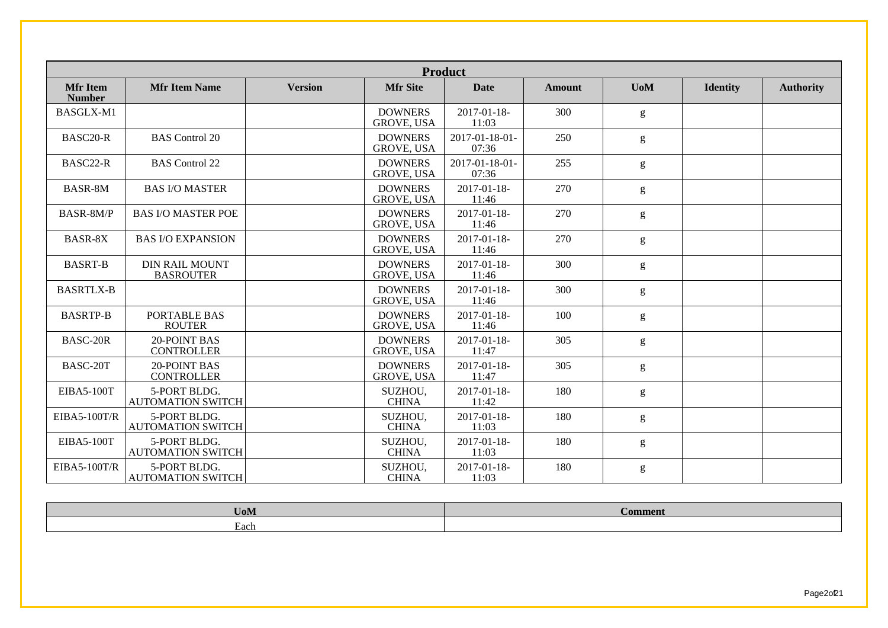|                                  |                                           |                |                                     | <b>Product</b>              |               |            |                 |                  |
|----------------------------------|-------------------------------------------|----------------|-------------------------------------|-----------------------------|---------------|------------|-----------------|------------------|
| <b>Mfr Item</b><br><b>Number</b> | <b>Mfr Item Name</b>                      | <b>Version</b> | <b>Mfr Site</b>                     | <b>Date</b>                 | <b>Amount</b> | <b>UoM</b> | <b>Identity</b> | <b>Authority</b> |
| BASGLX-M1                        |                                           |                | <b>DOWNERS</b><br><b>GROVE, USA</b> | $2017 - 01 - 18$<br>11:03   | 300           | g          |                 |                  |
| BASC20-R                         | <b>BAS</b> Control 20                     |                | <b>DOWNERS</b><br><b>GROVE, USA</b> | 2017-01-18-01-<br>07:36     | 250           | g          |                 |                  |
| BASC22-R                         | <b>BAS</b> Control 22                     |                | <b>DOWNERS</b><br>GROVE, USA        | 2017-01-18-01-<br>07:36     | 255           | g          |                 |                  |
| BASR-8M                          | <b>BAS I/O MASTER</b>                     |                | <b>DOWNERS</b><br><b>GROVE, USA</b> | $2017 - 01 - 18$<br>11:46   | 270           | g          |                 |                  |
| BASR-8M/P                        | <b>BAS I/O MASTER POE</b>                 |                | <b>DOWNERS</b><br><b>GROVE, USA</b> | 2017-01-18-<br>11:46        | 270           | g          |                 |                  |
| BASR-8X                          | <b>BAS I/O EXPANSION</b>                  |                | <b>DOWNERS</b><br><b>GROVE, USA</b> | $2017 - 01 - 18$ -<br>11:46 | 270           | g          |                 |                  |
| <b>BASRT-B</b>                   | <b>DIN RAIL MOUNT</b><br><b>BASROUTER</b> |                | <b>DOWNERS</b><br><b>GROVE, USA</b> | $2017 - 01 - 18$<br>11:46   | 300           | g          |                 |                  |
| <b>BASRTLX-B</b>                 |                                           |                | <b>DOWNERS</b><br><b>GROVE, USA</b> | $2017 - 01 - 18$<br>11:46   | 300           | g          |                 |                  |
| <b>BASRTP-B</b>                  | PORTABLE BAS<br><b>ROUTER</b>             |                | <b>DOWNERS</b><br><b>GROVE, USA</b> | $2017 - 01 - 18$ -<br>11:46 | 100           | g          |                 |                  |
| BASC-20R                         | <b>20-POINT BAS</b><br><b>CONTROLLER</b>  |                | <b>DOWNERS</b><br><b>GROVE, USA</b> | $2017 - 01 - 18$<br>11:47   | 305           | g          |                 |                  |
| BASC-20T                         | <b>20-POINT BAS</b><br><b>CONTROLLER</b>  |                | <b>DOWNERS</b><br><b>GROVE, USA</b> | $2017 - 01 - 18$ -<br>11:47 | 305           | g          |                 |                  |
| <b>EIBA5-100T</b>                | 5-PORT BLDG.<br><b>AUTOMATION SWITCH</b>  |                | SUZHOU,<br><b>CHINA</b>             | 2017-01-18-<br>11:42        | 180           | g          |                 |                  |
| <b>EIBA5-100T/R</b>              | 5-PORT BLDG.<br><b>AUTOMATION SWITCH</b>  |                | SUZHOU,<br><b>CHINA</b>             | $2017 - 01 - 18$<br>11:03   | 180           | g          |                 |                  |
| <b>EIBA5-100T</b>                | 5-PORT BLDG.<br><b>AUTOMATION SWITCH</b>  |                | SUZHOU,<br><b>CHINA</b>             | 2017-01-18-<br>11:03        | 180           | g          |                 |                  |
| <b>EIBA5-100T/R</b>              | 5-PORT BLDG.<br><b>AUTOMATION SWITCH</b>  |                | SUZHOU,<br><b>CHINA</b>             | $2017 - 01 - 18$<br>11:03   | 180           | g          |                 |                  |

| $-1$<br>$U_0$ iv $\overline{U}$  | Comment |
|----------------------------------|---------|
| $\overline{\phantom{0}}$<br>Each |         |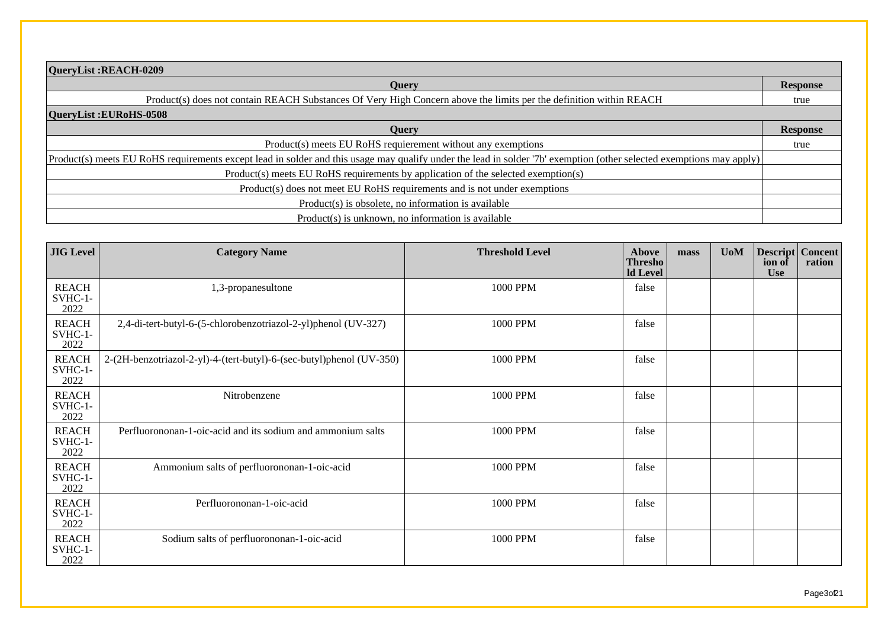| QueryList:REACH-0209                                                                                                                                                   |                 |
|------------------------------------------------------------------------------------------------------------------------------------------------------------------------|-----------------|
| <b>Ouery</b>                                                                                                                                                           | <b>Response</b> |
| Product(s) does not contain REACH Substances Of Very High Concern above the limits per the definition within REACH                                                     | true            |
| QueryList: EURoHS-0508                                                                                                                                                 |                 |
| <b>Ouery</b>                                                                                                                                                           | <b>Response</b> |
| Product(s) meets EU RoHS requierement without any exemptions                                                                                                           | true            |
| $Product(s)$ meets EU RoHS requirements except lead in solder and this usage may qualify under the lead in solder '7b' exemption (other selected exemptions may apply) |                 |
| Product(s) meets EU RoHS requirements by application of the selected exemption(s)                                                                                      |                 |
| Product(s) does not meet EU RoHS requirements and is not under exemptions                                                                                              |                 |
| Product(s) is obsolete, no information is available                                                                                                                    |                 |
| Product(s) is unknown, no information is available                                                                                                                     |                 |

| <b>JIG</b> Level                  | <b>Category Name</b>                                                 | <b>Threshold Level</b> | Above<br><b>Thresho</b><br>ld Level | mass | <b>UoM</b> | <b>Descript Concent</b><br>ion of<br><b>Use</b> | ration |
|-----------------------------------|----------------------------------------------------------------------|------------------------|-------------------------------------|------|------------|-------------------------------------------------|--------|
| <b>REACH</b><br>$SVHC-1-$<br>2022 | 1,3-propanesultone                                                   | 1000 PPM               | false                               |      |            |                                                 |        |
| <b>REACH</b><br>$SVHC-1-$<br>2022 | 2,4-di-tert-butyl-6-(5-chlorobenzotriazol-2-yl)phenol (UV-327)       | 1000 PPM               | false                               |      |            |                                                 |        |
| <b>REACH</b><br>$SVHC-1-$<br>2022 | 2-(2H-benzotriazol-2-yl)-4-(tert-butyl)-6-(sec-butyl)phenol (UV-350) | 1000 PPM               | false                               |      |            |                                                 |        |
| <b>REACH</b><br>$SWHC-1-$<br>2022 | Nitrobenzene                                                         | 1000 PPM               | false                               |      |            |                                                 |        |
| <b>REACH</b><br>$SVHC-1-$<br>2022 | Perfluorononan-1-oic-acid and its sodium and ammonium salts          | 1000 PPM               | false                               |      |            |                                                 |        |
| <b>REACH</b><br>$SVHC-1-$<br>2022 | Ammonium salts of perfluorononan-1-oic-acid                          | 1000 PPM               | false                               |      |            |                                                 |        |
| <b>REACH</b><br>$SVHC-1-$<br>2022 | Perfluorononan-1-oic-acid                                            | 1000 PPM               | false                               |      |            |                                                 |        |
| <b>REACH</b><br>$SVHC-1-$<br>2022 | Sodium salts of perfluorononan-1-oic-acid                            | 1000 PPM               | false                               |      |            |                                                 |        |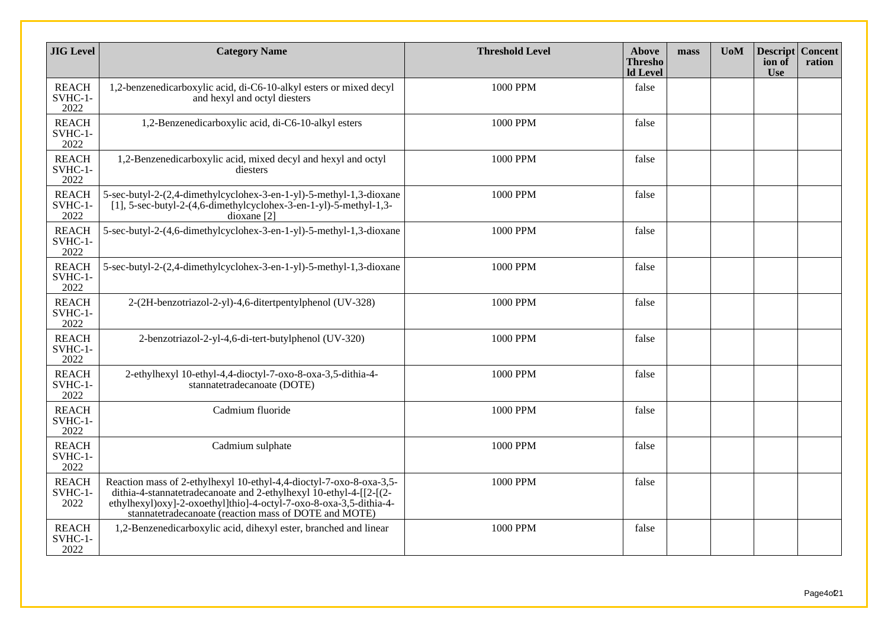| <b>JIG Level</b>                | <b>Category Name</b>                                                                                                                                                                                                                                                     | <b>Threshold Level</b> | <b>Above</b><br><b>Thresho</b><br><b>ld Level</b> | mass | <b>U</b> oM | <b>Descript</b><br>ion of<br><b>Use</b> | <b>Concent</b><br>ration |
|---------------------------------|--------------------------------------------------------------------------------------------------------------------------------------------------------------------------------------------------------------------------------------------------------------------------|------------------------|---------------------------------------------------|------|-------------|-----------------------------------------|--------------------------|
| <b>REACH</b><br>SVHC-1-<br>2022 | 1,2-benzenedicarboxylic acid, di-C6-10-alkyl esters or mixed decyl<br>and hexyl and octyl diesters                                                                                                                                                                       | 1000 PPM               | false                                             |      |             |                                         |                          |
| <b>REACH</b><br>SVHC-1-<br>2022 | 1,2-Benzenedicarboxylic acid, di-C6-10-alkyl esters                                                                                                                                                                                                                      | 1000 PPM               | false                                             |      |             |                                         |                          |
| <b>REACH</b><br>SVHC-1-<br>2022 | 1,2-Benzenedicarboxylic acid, mixed decyl and hexyl and octyl<br>diesters                                                                                                                                                                                                | 1000 PPM               | false                                             |      |             |                                         |                          |
| <b>REACH</b><br>SVHC-1-<br>2022 | 5-sec-butyl-2-(2,4-dimethylcyclohex-3-en-1-yl)-5-methyl-1,3-dioxane<br>$[1]$ , 5-sec-butyl-2-(4,6-dimethylcyclohex-3-en-1-yl)-5-methyl-1,3-<br>$dioxane$ [2]                                                                                                             | 1000 PPM               | false                                             |      |             |                                         |                          |
| <b>REACH</b><br>SVHC-1-<br>2022 | 5-sec-butyl-2-(4,6-dimethylcyclohex-3-en-1-yl)-5-methyl-1,3-dioxane                                                                                                                                                                                                      | 1000 PPM               | false                                             |      |             |                                         |                          |
| <b>REACH</b><br>SVHC-1-<br>2022 | 5-sec-butyl-2-(2,4-dimethylcyclohex-3-en-1-yl)-5-methyl-1,3-dioxane                                                                                                                                                                                                      | 1000 PPM               | false                                             |      |             |                                         |                          |
| <b>REACH</b><br>SVHC-1-<br>2022 | 2-(2H-benzotriazol-2-yl)-4,6-ditertpentylphenol (UV-328)                                                                                                                                                                                                                 | 1000 PPM               | false                                             |      |             |                                         |                          |
| <b>REACH</b><br>SVHC-1-<br>2022 | 2-benzotriazol-2-yl-4,6-di-tert-butylphenol (UV-320)                                                                                                                                                                                                                     | 1000 PPM               | false                                             |      |             |                                         |                          |
| <b>REACH</b><br>SVHC-1-<br>2022 | 2-ethylhexyl 10-ethyl-4,4-dioctyl-7-oxo-8-oxa-3,5-dithia-4-<br>stannatetradecanoate (DOTE)                                                                                                                                                                               | 1000 PPM               | false                                             |      |             |                                         |                          |
| <b>REACH</b><br>SVHC-1-<br>2022 | Cadmium fluoride                                                                                                                                                                                                                                                         | 1000 PPM               | false                                             |      |             |                                         |                          |
| <b>REACH</b><br>SVHC-1-<br>2022 | Cadmium sulphate                                                                                                                                                                                                                                                         | 1000 PPM               | false                                             |      |             |                                         |                          |
| <b>REACH</b><br>SVHC-1-<br>2022 | Reaction mass of 2-ethylhexyl 10-ethyl-4,4-dioctyl-7-oxo-8-oxa-3,5-<br>dithia-4-stannatetradecanoate and 2-ethylhexyl 10-ethyl-4-[[2-](2-<br>ethylhexyl)oxy]-2-oxoethyl]thio]-4-octyl-7-oxo-8-oxa-3,5-dithia-4-<br>stannatetradecanoate (reaction mass of DOTE and MOTE) | 1000 PPM               | false                                             |      |             |                                         |                          |
| <b>REACH</b><br>SVHC-1-<br>2022 | 1,2-Benzenedicarboxylic acid, dihexyl ester, branched and linear                                                                                                                                                                                                         | 1000 PPM               | false                                             |      |             |                                         |                          |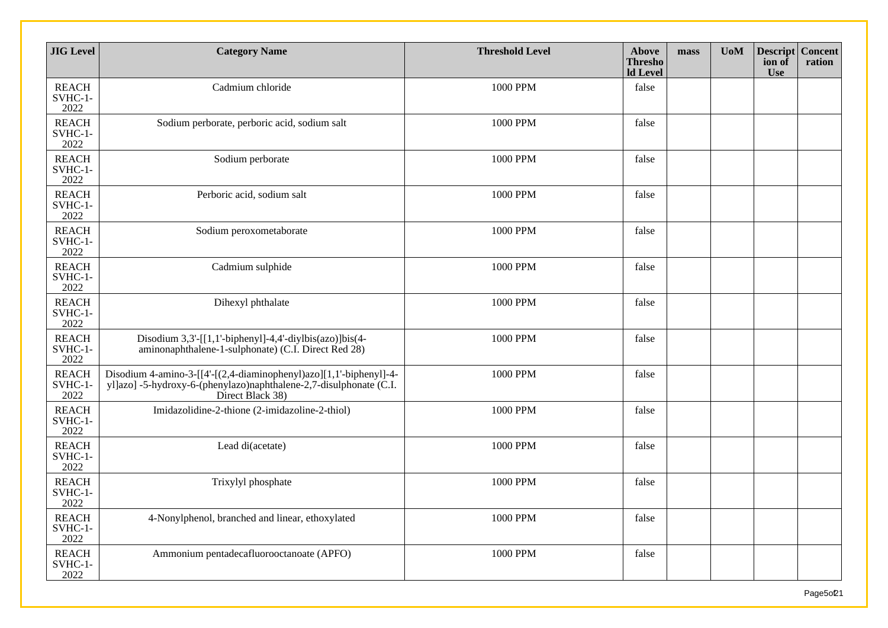| <b>JIG</b> Level                  | <b>Category Name</b>                                                                                                                                         | <b>Threshold Level</b> | <b>Above</b><br><b>Thresho</b><br><b>Id Level</b> | mass | <b>UoM</b> | <b>Descript Concent</b><br>ion of<br><b>Use</b> | ration |
|-----------------------------------|--------------------------------------------------------------------------------------------------------------------------------------------------------------|------------------------|---------------------------------------------------|------|------------|-------------------------------------------------|--------|
| <b>REACH</b><br>SVHC-1-<br>2022   | Cadmium chloride                                                                                                                                             | 1000 PPM               | false                                             |      |            |                                                 |        |
| <b>REACH</b><br>SVHC-1-<br>2022   | Sodium perborate, perboric acid, sodium salt                                                                                                                 | 1000 PPM               | false                                             |      |            |                                                 |        |
| <b>REACH</b><br>$SVHC-1-$<br>2022 | Sodium perborate                                                                                                                                             | 1000 PPM               | false                                             |      |            |                                                 |        |
| <b>REACH</b><br>SVHC-1-<br>2022   | Perboric acid, sodium salt                                                                                                                                   | 1000 PPM               | false                                             |      |            |                                                 |        |
| <b>REACH</b><br>SVHC-1-<br>2022   | Sodium peroxometaborate                                                                                                                                      | 1000 PPM               | false                                             |      |            |                                                 |        |
| <b>REACH</b><br>SVHC-1-<br>2022   | Cadmium sulphide                                                                                                                                             | 1000 PPM               | false                                             |      |            |                                                 |        |
| <b>REACH</b><br>SVHC-1-<br>2022   | Dihexyl phthalate                                                                                                                                            | 1000 PPM               | false                                             |      |            |                                                 |        |
| <b>REACH</b><br>SVHC-1-<br>2022   | Disodium $3,3'$ -[[1,1'-biphenyl]-4,4'-diylbis(azo)]bis(4-<br>aminonaphthalene-1-sulphonate) (C.I. Direct Red 28)                                            | 1000 PPM               | false                                             |      |            |                                                 |        |
| <b>REACH</b><br>SVHC-1-<br>2022   | Disodium 4-amino-3-[[4'-[(2,4-diaminophenyl)azo][1,1'-biphenyl]-4-<br>yl]azo] -5-hydroxy-6-(phenylazo)naphthalene-2,7-disulphonate (C.I.<br>Direct Black 38) | 1000 PPM               | false                                             |      |            |                                                 |        |
| <b>REACH</b><br>SVHC-1-<br>2022   | Imidazolidine-2-thione (2-imidazoline-2-thiol)                                                                                                               | 1000 PPM               | false                                             |      |            |                                                 |        |
| <b>REACH</b><br>SVHC-1-<br>2022   | Lead di(acetate)                                                                                                                                             | 1000 PPM               | false                                             |      |            |                                                 |        |
| <b>REACH</b><br>SVHC-1-<br>2022   | Trixylyl phosphate                                                                                                                                           | 1000 PPM               | false                                             |      |            |                                                 |        |
| <b>REACH</b><br>SVHC-1-<br>2022   | 4-Nonylphenol, branched and linear, ethoxylated                                                                                                              | 1000 PPM               | false                                             |      |            |                                                 |        |
| <b>REACH</b><br>$SVHC-1-$<br>2022 | Ammonium pentadecafluorooctanoate (APFO)                                                                                                                     | 1000 PPM               | false                                             |      |            |                                                 |        |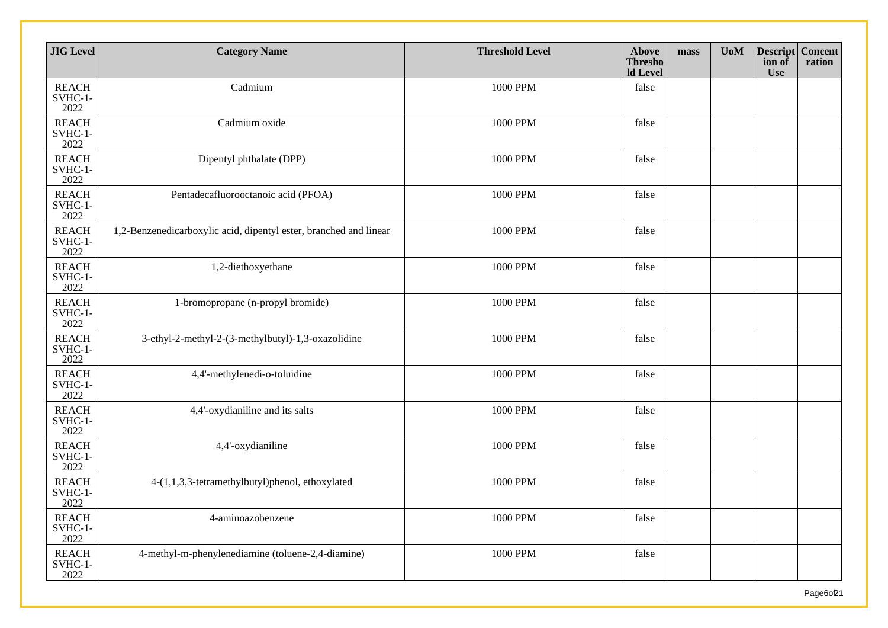| <b>JIG</b> Level                | <b>Category Name</b>                                              | <b>Threshold Level</b> | Above<br><b>Thresho</b><br><b>Id Level</b> | mass | U <sub>0</sub> M | <b>Descript Concent</b><br>ion of<br><b>Use</b> | ration |
|---------------------------------|-------------------------------------------------------------------|------------------------|--------------------------------------------|------|------------------|-------------------------------------------------|--------|
| <b>REACH</b><br>SVHC-1-<br>2022 | Cadmium                                                           | 1000 PPM               | false                                      |      |                  |                                                 |        |
| <b>REACH</b><br>SVHC-1-<br>2022 | Cadmium oxide                                                     | 1000 PPM               | false                                      |      |                  |                                                 |        |
| <b>REACH</b><br>SVHC-1-<br>2022 | Dipentyl phthalate (DPP)                                          | 1000 PPM               | false                                      |      |                  |                                                 |        |
| <b>REACH</b><br>SVHC-1-<br>2022 | Pentadecafluorooctanoic acid (PFOA)                               | 1000 PPM               | false                                      |      |                  |                                                 |        |
| <b>REACH</b><br>SVHC-1-<br>2022 | 1,2-Benzenedicarboxylic acid, dipentyl ester, branched and linear | 1000 PPM               | false                                      |      |                  |                                                 |        |
| <b>REACH</b><br>SVHC-1-<br>2022 | 1,2-diethoxyethane                                                | 1000 PPM               | false                                      |      |                  |                                                 |        |
| <b>REACH</b><br>SVHC-1-<br>2022 | 1-bromopropane (n-propyl bromide)                                 | 1000 PPM               | false                                      |      |                  |                                                 |        |
| <b>REACH</b><br>SVHC-1-<br>2022 | 3-ethyl-2-methyl-2-(3-methylbutyl)-1,3-oxazolidine                | 1000 PPM               | false                                      |      |                  |                                                 |        |
| <b>REACH</b><br>SVHC-1-<br>2022 | 4,4'-methylenedi-o-toluidine                                      | 1000 PPM               | false                                      |      |                  |                                                 |        |
| <b>REACH</b><br>SVHC-1-<br>2022 | 4,4'-oxydianiline and its salts                                   | 1000 PPM               | false                                      |      |                  |                                                 |        |
| <b>REACH</b><br>SVHC-1-<br>2022 | 4,4'-oxydianiline                                                 | 1000 PPM               | false                                      |      |                  |                                                 |        |
| <b>REACH</b><br>SVHC-1-<br>2022 | 4-(1,1,3,3-tetramethylbutyl)phenol, ethoxylated                   | 1000 PPM               | false                                      |      |                  |                                                 |        |
| <b>REACH</b><br>SVHC-1-<br>2022 | 4-aminoazobenzene                                                 | 1000 PPM               | false                                      |      |                  |                                                 |        |
| <b>REACH</b><br>SVHC-1-<br>2022 | 4-methyl-m-phenylenediamine (toluene-2,4-diamine)                 | 1000 PPM               | false                                      |      |                  |                                                 |        |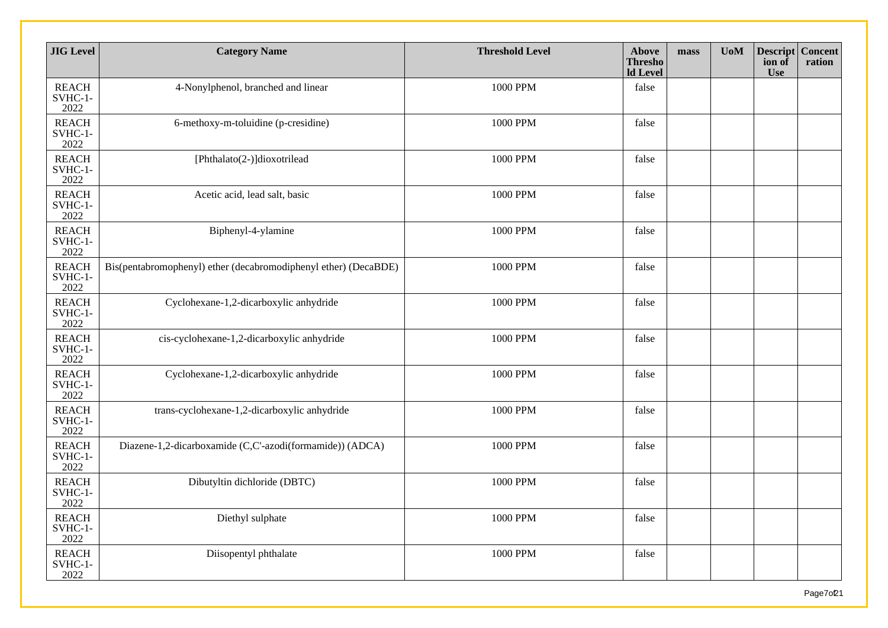| <b>JIG</b> Level                | <b>Category Name</b>                                            | <b>Threshold Level</b> | <b>Above</b><br><b>Thresho</b><br><b>ld</b> Level | mass | <b>UoM</b> | <b>Descript Concent</b><br>ion of<br><b>Use</b> | ration |
|---------------------------------|-----------------------------------------------------------------|------------------------|---------------------------------------------------|------|------------|-------------------------------------------------|--------|
| <b>REACH</b><br>SVHC-1-<br>2022 | 4-Nonylphenol, branched and linear                              | 1000 PPM               | false                                             |      |            |                                                 |        |
| <b>REACH</b><br>SVHC-1-<br>2022 | 6-methoxy-m-toluidine (p-cresidine)                             | 1000 PPM               | false                                             |      |            |                                                 |        |
| <b>REACH</b><br>SVHC-1-<br>2022 | [Phthalato(2-)]dioxotrilead                                     | 1000 PPM               | false                                             |      |            |                                                 |        |
| <b>REACH</b><br>SVHC-1-<br>2022 | Acetic acid, lead salt, basic                                   | 1000 PPM               | false                                             |      |            |                                                 |        |
| <b>REACH</b><br>SVHC-1-<br>2022 | Biphenyl-4-ylamine                                              | 1000 PPM               | false                                             |      |            |                                                 |        |
| <b>REACH</b><br>SVHC-1-<br>2022 | Bis(pentabromophenyl) ether (decabromodiphenyl ether) (DecaBDE) | 1000 PPM               | false                                             |      |            |                                                 |        |
| <b>REACH</b><br>SVHC-1-<br>2022 | Cyclohexane-1,2-dicarboxylic anhydride                          | 1000 PPM               | false                                             |      |            |                                                 |        |
| <b>REACH</b><br>SVHC-1-<br>2022 | cis-cyclohexane-1,2-dicarboxylic anhydride                      | 1000 PPM               | false                                             |      |            |                                                 |        |
| <b>REACH</b><br>SVHC-1-<br>2022 | Cyclohexane-1,2-dicarboxylic anhydride                          | 1000 PPM               | false                                             |      |            |                                                 |        |
| <b>REACH</b><br>SVHC-1-<br>2022 | trans-cyclohexane-1,2-dicarboxylic anhydride                    | 1000 PPM               | false                                             |      |            |                                                 |        |
| <b>REACH</b><br>SVHC-1-<br>2022 | Diazene-1,2-dicarboxamide (C,C'-azodi(formamide)) (ADCA)        | 1000 PPM               | false                                             |      |            |                                                 |        |
| <b>REACH</b><br>SVHC-1-<br>2022 | Dibutyltin dichloride (DBTC)                                    | 1000 PPM               | false                                             |      |            |                                                 |        |
| <b>REACH</b><br>SVHC-1-<br>2022 | Diethyl sulphate                                                | 1000 PPM               | false                                             |      |            |                                                 |        |
| <b>REACH</b><br>SVHC-1-<br>2022 | Diisopentyl phthalate                                           | 1000 PPM               | false                                             |      |            |                                                 |        |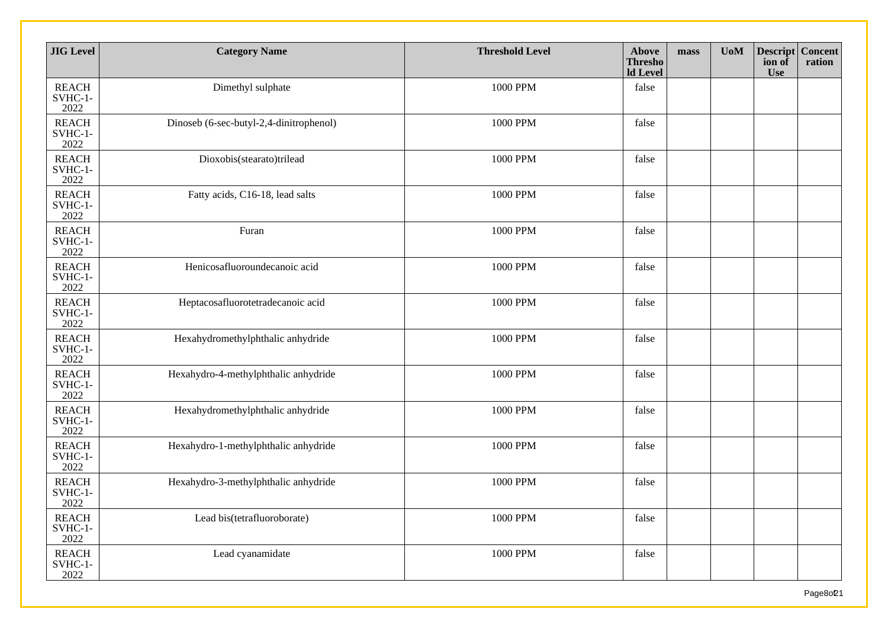| <b>JIG</b> Level                | <b>Category Name</b>                    | <b>Threshold Level</b> | Above<br><b>Thresho</b><br><b>ld</b> Level | mass | <b>UoM</b> | <b>Descript Concent</b><br>ion of<br><b>Use</b> | ration |
|---------------------------------|-----------------------------------------|------------------------|--------------------------------------------|------|------------|-------------------------------------------------|--------|
| <b>REACH</b><br>SVHC-1-<br>2022 | Dimethyl sulphate                       | 1000 PPM               | false                                      |      |            |                                                 |        |
| <b>REACH</b><br>SVHC-1-<br>2022 | Dinoseb (6-sec-butyl-2,4-dinitrophenol) | 1000 PPM               | false                                      |      |            |                                                 |        |
| <b>REACH</b><br>SVHC-1-<br>2022 | Dioxobis(stearato)trilead               | 1000 PPM               | false                                      |      |            |                                                 |        |
| <b>REACH</b><br>SVHC-1-<br>2022 | Fatty acids, C16-18, lead salts         | 1000 PPM               | false                                      |      |            |                                                 |        |
| <b>REACH</b><br>SVHC-1-<br>2022 | Furan                                   | 1000 PPM               | false                                      |      |            |                                                 |        |
| <b>REACH</b><br>SVHC-1-<br>2022 | Henicosafluoroundecanoic acid           | 1000 PPM               | false                                      |      |            |                                                 |        |
| <b>REACH</b><br>SVHC-1-<br>2022 | Heptacosafluorotetradecanoic acid       | 1000 PPM               | false                                      |      |            |                                                 |        |
| <b>REACH</b><br>SVHC-1-<br>2022 | Hexahydromethylphthalic anhydride       | 1000 PPM               | false                                      |      |            |                                                 |        |
| <b>REACH</b><br>SVHC-1-<br>2022 | Hexahydro-4-methylphthalic anhydride    | 1000 PPM               | false                                      |      |            |                                                 |        |
| <b>REACH</b><br>SVHC-1-<br>2022 | Hexahydromethylphthalic anhydride       | 1000 PPM               | false                                      |      |            |                                                 |        |
| <b>REACH</b><br>SVHC-1-<br>2022 | Hexahydro-1-methylphthalic anhydride    | 1000 PPM               | false                                      |      |            |                                                 |        |
| <b>REACH</b><br>SVHC-1-<br>2022 | Hexahydro-3-methylphthalic anhydride    | 1000 PPM               | false                                      |      |            |                                                 |        |
| <b>REACH</b><br>SVHC-1-<br>2022 | Lead bis(tetrafluoroborate)             | 1000 PPM               | false                                      |      |            |                                                 |        |
| <b>REACH</b><br>SVHC-1-<br>2022 | Lead cyanamidate                        | 1000 PPM               | false                                      |      |            |                                                 |        |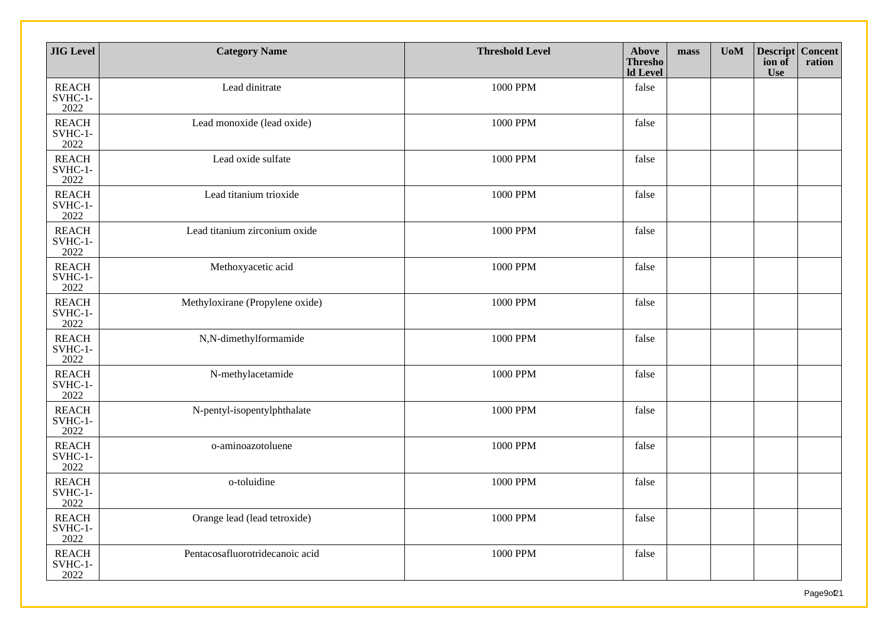| <b>JIG</b> Level                  | <b>Category Name</b>            | <b>Threshold Level</b> | Above<br><b>Thresho</b><br><b>Id Level</b> | mass | <b>UoM</b> | <b>Descript Concent</b><br>ion of<br><b>Use</b> | ration |
|-----------------------------------|---------------------------------|------------------------|--------------------------------------------|------|------------|-------------------------------------------------|--------|
| <b>REACH</b><br>SVHC-1-<br>2022   | Lead dinitrate                  | 1000 PPM               | false                                      |      |            |                                                 |        |
| <b>REACH</b><br>SVHC-1-<br>2022   | Lead monoxide (lead oxide)      | 1000 PPM               | false                                      |      |            |                                                 |        |
| <b>REACH</b><br>SVHC-1-<br>2022   | Lead oxide sulfate              | 1000 PPM               | false                                      |      |            |                                                 |        |
| <b>REACH</b><br>SVHC-1-<br>2022   | Lead titanium trioxide          | 1000 PPM               | false                                      |      |            |                                                 |        |
| <b>REACH</b><br>SVHC-1-<br>2022   | Lead titanium zirconium oxide   | 1000 PPM               | false                                      |      |            |                                                 |        |
| <b>REACH</b><br>SVHC-1-<br>2022   | Methoxyacetic acid              | 1000 PPM               | false                                      |      |            |                                                 |        |
| <b>REACH</b><br>SVHC-1-<br>2022   | Methyloxirane (Propylene oxide) | 1000 PPM               | false                                      |      |            |                                                 |        |
| <b>REACH</b><br>SVHC-1-<br>2022   | N,N-dimethylformamide           | 1000 PPM               | false                                      |      |            |                                                 |        |
| <b>REACH</b><br>$SVHC-1-$<br>2022 | N-methylacetamide               | 1000 PPM               | false                                      |      |            |                                                 |        |
| <b>REACH</b><br>SVHC-1-<br>2022   | N-pentyl-isopentylphthalate     | 1000 PPM               | false                                      |      |            |                                                 |        |
| <b>REACH</b><br>SVHC-1-<br>2022   | o-aminoazotoluene               | 1000 PPM               | false                                      |      |            |                                                 |        |
| <b>REACH</b><br>SVHC-1-<br>2022   | o-toluidine                     | 1000 PPM               | false                                      |      |            |                                                 |        |
| <b>REACH</b><br>SVHC-1-<br>2022   | Orange lead (lead tetroxide)    | 1000 PPM               | false                                      |      |            |                                                 |        |
| <b>REACH</b><br>SVHC-1-<br>2022   | Pentacosafluorotridecanoic acid | 1000 PPM               | false                                      |      |            |                                                 |        |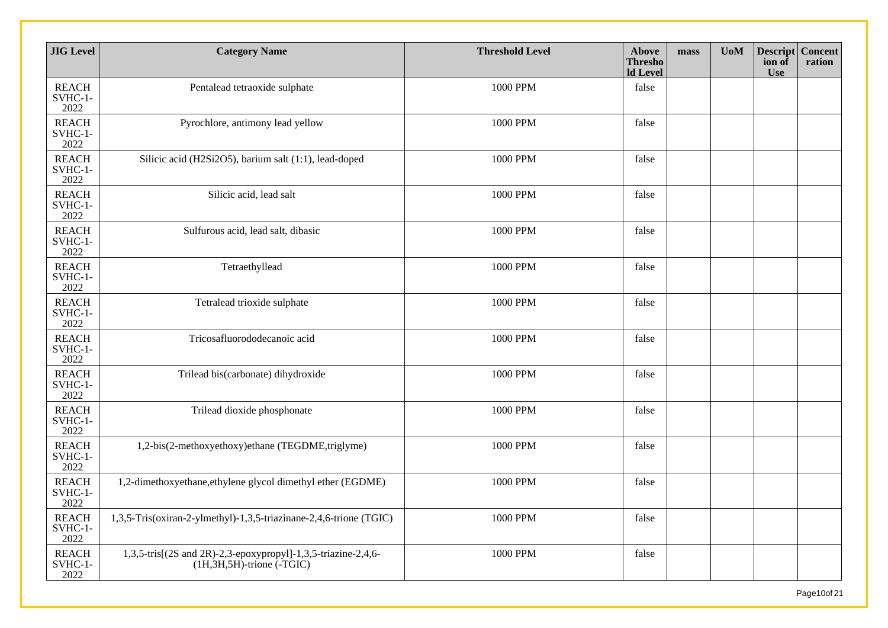| <b>JIG</b> Level                | <b>Category Name</b>                                                                             | <b>Threshold Level</b> | <b>Above</b><br><b>Thresho</b><br><b>Id Level</b> | mass | U <sub>0</sub> M | <b>Descript Concent</b><br>ion of<br><b>Use</b> | ration |
|---------------------------------|--------------------------------------------------------------------------------------------------|------------------------|---------------------------------------------------|------|------------------|-------------------------------------------------|--------|
| <b>REACH</b><br>SVHC-1-<br>2022 | Pentalead tetraoxide sulphate                                                                    | 1000 PPM               | false                                             |      |                  |                                                 |        |
| <b>REACH</b><br>SVHC-1-<br>2022 | Pyrochlore, antimony lead yellow                                                                 | 1000 PPM               | false                                             |      |                  |                                                 |        |
| <b>REACH</b><br>SVHC-1-<br>2022 | Silicic acid (H2Si2O5), barium salt (1:1), lead-doped                                            | 1000 PPM               | false                                             |      |                  |                                                 |        |
| <b>REACH</b><br>SVHC-1-<br>2022 | Silicic acid, lead salt                                                                          | 1000 PPM               | false                                             |      |                  |                                                 |        |
| <b>REACH</b><br>SVHC-1-<br>2022 | Sulfurous acid, lead salt, dibasic                                                               | 1000 PPM               | false                                             |      |                  |                                                 |        |
| <b>REACH</b><br>SVHC-1-<br>2022 | Tetraethyllead                                                                                   | 1000 PPM               | false                                             |      |                  |                                                 |        |
| <b>REACH</b><br>SVHC-1-<br>2022 | Tetralead trioxide sulphate                                                                      | 1000 PPM               | false                                             |      |                  |                                                 |        |
| <b>REACH</b><br>SVHC-1-<br>2022 | Tricosafluorododecanoic acid                                                                     | 1000 PPM               | false                                             |      |                  |                                                 |        |
| <b>REACH</b><br>SVHC-1-<br>2022 | Trilead bis(carbonate) dihydroxide                                                               | 1000 PPM               | false                                             |      |                  |                                                 |        |
| <b>REACH</b><br>SVHC-1-<br>2022 | Trilead dioxide phosphonate                                                                      | 1000 PPM               | false                                             |      |                  |                                                 |        |
| <b>REACH</b><br>SVHC-1-<br>2022 | 1,2-bis(2-methoxyethoxy)ethane (TEGDME,triglyme)                                                 | 1000 PPM               | false                                             |      |                  |                                                 |        |
| <b>REACH</b><br>SVHC-1-<br>2022 | 1,2-dimethoxyethane, ethylene glycol dimethyl ether (EGDME)                                      | 1000 PPM               | false                                             |      |                  |                                                 |        |
| <b>REACH</b><br>SVHC-1-<br>2022 | 1,3,5-Tris(oxiran-2-ylmethyl)-1,3,5-triazinane-2,4,6-trione (TGIC)                               | 1000 PPM               | false                                             |      |                  |                                                 |        |
| <b>REACH</b><br>SVHC-1-<br>2022 | 1,3,5-tris[(2S and 2R)-2,3-epoxypropyl]-1,3,5-triazine-2,4,6-<br>$(H, 3H, 5H)$ -trione $(-TGIC)$ | 1000 PPM               | false                                             |      |                  |                                                 |        |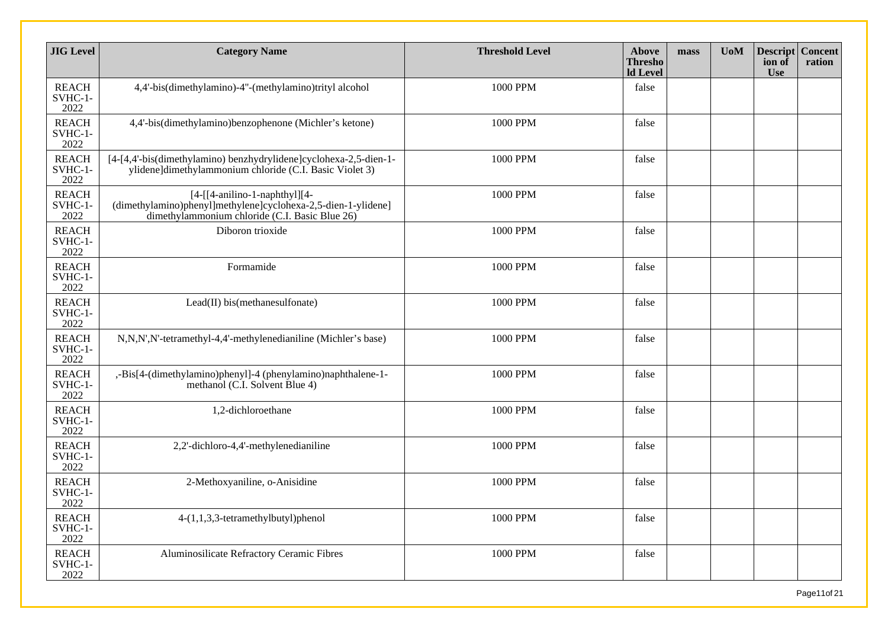| <b>JIG</b> Level                | <b>Category Name</b>                                                                                                                                  | <b>Threshold Level</b> | <b>Above</b><br><b>Thresho</b><br><b>ld</b> Level | mass | <b>UoM</b> | <b>Descript Concent</b><br>ion of<br><b>Use</b> | ration |
|---------------------------------|-------------------------------------------------------------------------------------------------------------------------------------------------------|------------------------|---------------------------------------------------|------|------------|-------------------------------------------------|--------|
| <b>REACH</b><br>SVHC-1-<br>2022 | 4,4'-bis(dimethylamino)-4"-(methylamino)trityl alcohol                                                                                                | 1000 PPM               | false                                             |      |            |                                                 |        |
| <b>REACH</b><br>SVHC-1-<br>2022 | 4,4'-bis(dimethylamino)benzophenone (Michler's ketone)                                                                                                | 1000 PPM               | false                                             |      |            |                                                 |        |
| <b>REACH</b><br>SVHC-1-<br>2022 | [4-[4,4'-bis(dimethylamino) benzhydrylidene]cyclohexa-2,5-dien-1-<br>ylidene]dimethylammonium chloride (C.I. Basic Violet 3)                          | 1000 PPM               | false                                             |      |            |                                                 |        |
| <b>REACH</b><br>SVHC-1-<br>2022 | $[4-[[4-anilino-1-naphthyl][4-$<br>$(dimethylamino)phenyl[methylene] cyclohexa-2,5-dien-1-y]idene]$<br>dimethylammonium chloride (C.I. Basic Blue 26) | 1000 PPM               | false                                             |      |            |                                                 |        |
| <b>REACH</b><br>SVHC-1-<br>2022 | Diboron trioxide                                                                                                                                      | 1000 PPM               | false                                             |      |            |                                                 |        |
| <b>REACH</b><br>SVHC-1-<br>2022 | Formamide                                                                                                                                             | 1000 PPM               | false                                             |      |            |                                                 |        |
| <b>REACH</b><br>SVHC-1-<br>2022 | Lead(II) bis(methanesulfonate)                                                                                                                        | 1000 PPM               | false                                             |      |            |                                                 |        |
| <b>REACH</b><br>SVHC-1-<br>2022 | N,N,N',N'-tetramethyl-4,4'-methylenedianiline (Michler's base)                                                                                        | 1000 PPM               | false                                             |      |            |                                                 |        |
| <b>REACH</b><br>SVHC-1-<br>2022 | ,-Bis[4-(dimethylamino)phenyl]-4 (phenylamino)naphthalene-1-<br>methanol (C.I. Solvent Blue 4)                                                        | 1000 PPM               | false                                             |      |            |                                                 |        |
| <b>REACH</b><br>SVHC-1-<br>2022 | 1,2-dichloroethane                                                                                                                                    | 1000 PPM               | false                                             |      |            |                                                 |        |
| <b>REACH</b><br>SVHC-1-<br>2022 | 2,2'-dichloro-4,4'-methylenedianiline                                                                                                                 | 1000 PPM               | false                                             |      |            |                                                 |        |
| <b>REACH</b><br>SVHC-1-<br>2022 | 2-Methoxyaniline, o-Anisidine                                                                                                                         | 1000 PPM               | false                                             |      |            |                                                 |        |
| <b>REACH</b><br>SVHC-1-<br>2022 | 4-(1,1,3,3-tetramethylbutyl)phenol                                                                                                                    | 1000 PPM               | false                                             |      |            |                                                 |        |
| <b>REACH</b><br>SVHC-1-<br>2022 | Aluminosilicate Refractory Ceramic Fibres                                                                                                             | 1000 PPM               | false                                             |      |            |                                                 |        |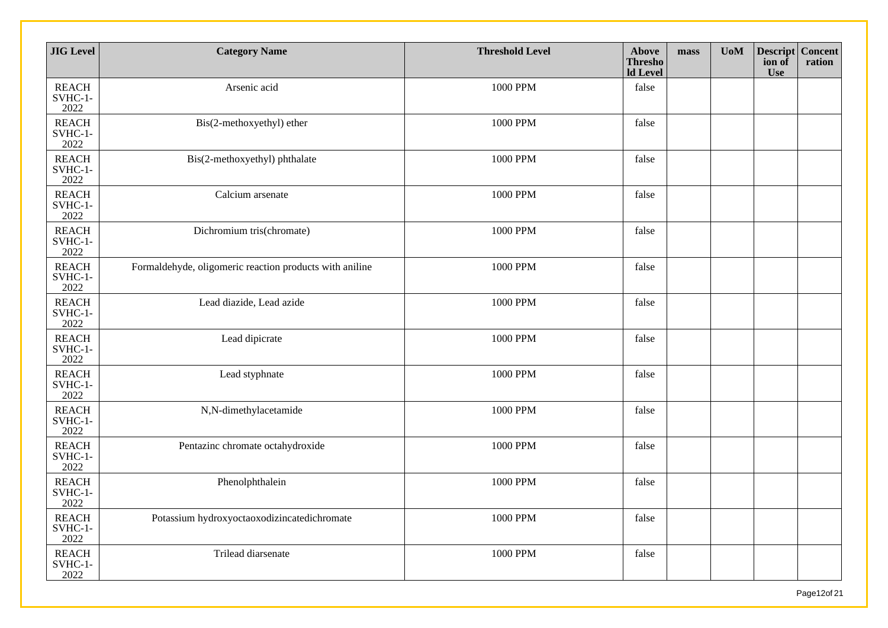| <b>JIG</b> Level                  | <b>Category Name</b>                                    | <b>Threshold Level</b> | Above<br><b>Thresho</b><br><b>Id Level</b> | mass | U <sub>0</sub> M | Descript Concent<br>ion of<br><b>Use</b> | ration |
|-----------------------------------|---------------------------------------------------------|------------------------|--------------------------------------------|------|------------------|------------------------------------------|--------|
| <b>REACH</b><br>SVHC-1-<br>2022   | Arsenic acid                                            | 1000 PPM               | false                                      |      |                  |                                          |        |
| <b>REACH</b><br>SVHC-1-<br>2022   | Bis(2-methoxyethyl) ether                               | 1000 PPM               | false                                      |      |                  |                                          |        |
| <b>REACH</b><br>SVHC-1-<br>2022   | Bis(2-methoxyethyl) phthalate                           | 1000 PPM               | false                                      |      |                  |                                          |        |
| <b>REACH</b><br>SVHC-1-<br>2022   | Calcium arsenate                                        | 1000 PPM               | false                                      |      |                  |                                          |        |
| <b>REACH</b><br>SVHC-1-<br>2022   | Dichromium tris(chromate)                               | 1000 PPM               | false                                      |      |                  |                                          |        |
| <b>REACH</b><br>SVHC-1-<br>2022   | Formaldehyde, oligomeric reaction products with aniline | 1000 PPM               | false                                      |      |                  |                                          |        |
| <b>REACH</b><br>SVHC-1-<br>2022   | Lead diazide, Lead azide                                | 1000 PPM               | false                                      |      |                  |                                          |        |
| <b>REACH</b><br>SVHC-1-<br>2022   | Lead dipicrate                                          | 1000 PPM               | false                                      |      |                  |                                          |        |
| <b>REACH</b><br>$SVHC-1-$<br>2022 | Lead styphnate                                          | 1000 PPM               | false                                      |      |                  |                                          |        |
| <b>REACH</b><br>SVHC-1-<br>2022   | N,N-dimethylacetamide                                   | 1000 PPM               | false                                      |      |                  |                                          |        |
| <b>REACH</b><br>SVHC-1-<br>2022   | Pentazinc chromate octahydroxide                        | 1000 PPM               | false                                      |      |                  |                                          |        |
| <b>REACH</b><br>SVHC-1-<br>2022   | Phenolphthalein                                         | 1000 PPM               | false                                      |      |                  |                                          |        |
| <b>REACH</b><br>SVHC-1-<br>2022   | Potassium hydroxyoctaoxodizincatedichromate             | 1000 PPM               | false                                      |      |                  |                                          |        |
| <b>REACH</b><br>SVHC-1-<br>2022   | Trilead diarsenate                                      | 1000 PPM               | false                                      |      |                  |                                          |        |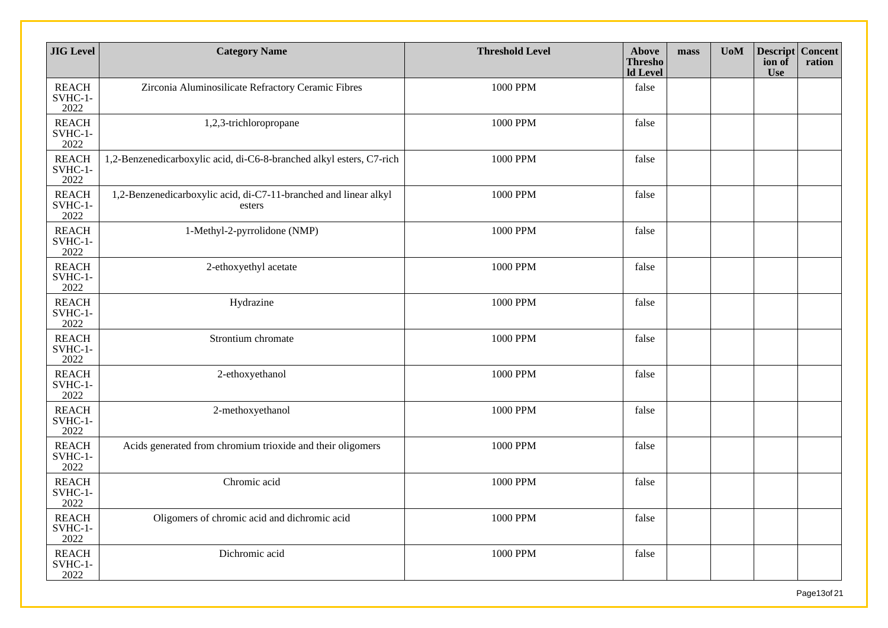| <b>JIG</b> Level                | <b>Category Name</b>                                                       | <b>Threshold Level</b> | <b>Above</b><br><b>Thresho</b><br><b>ld</b> Level | mass | <b>UoM</b> | <b>Descript Concent</b><br>ion of<br><b>Use</b> | ration |
|---------------------------------|----------------------------------------------------------------------------|------------------------|---------------------------------------------------|------|------------|-------------------------------------------------|--------|
| <b>REACH</b><br>SVHC-1-<br>2022 | Zirconia Aluminosilicate Refractory Ceramic Fibres                         | 1000 PPM               | false                                             |      |            |                                                 |        |
| <b>REACH</b><br>SVHC-1-<br>2022 | 1,2,3-trichloropropane                                                     | 1000 PPM               | false                                             |      |            |                                                 |        |
| <b>REACH</b><br>SVHC-1-<br>2022 | 1,2-Benzenedicarboxylic acid, di-C6-8-branched alkyl esters, C7-rich       | 1000 PPM               | false                                             |      |            |                                                 |        |
| <b>REACH</b><br>SVHC-1-<br>2022 | 1,2-Benzenedicarboxylic acid, di-C7-11-branched and linear alkyl<br>esters | 1000 PPM               | false                                             |      |            |                                                 |        |
| <b>REACH</b><br>SVHC-1-<br>2022 | 1-Methyl-2-pyrrolidone (NMP)                                               | 1000 PPM               | false                                             |      |            |                                                 |        |
| <b>REACH</b><br>SVHC-1-<br>2022 | 2-ethoxyethyl acetate                                                      | 1000 PPM               | false                                             |      |            |                                                 |        |
| <b>REACH</b><br>SVHC-1-<br>2022 | Hydrazine                                                                  | 1000 PPM               | false                                             |      |            |                                                 |        |
| <b>REACH</b><br>SVHC-1-<br>2022 | Strontium chromate                                                         | 1000 PPM               | false                                             |      |            |                                                 |        |
| <b>REACH</b><br>SVHC-1-<br>2022 | 2-ethoxyethanol                                                            | 1000 PPM               | false                                             |      |            |                                                 |        |
| <b>REACH</b><br>SVHC-1-<br>2022 | 2-methoxyethanol                                                           | 1000 PPM               | false                                             |      |            |                                                 |        |
| <b>REACH</b><br>SVHC-1-<br>2022 | Acids generated from chromium trioxide and their oligomers                 | 1000 PPM               | false                                             |      |            |                                                 |        |
| <b>REACH</b><br>SVHC-1-<br>2022 | Chromic acid                                                               | 1000 PPM               | false                                             |      |            |                                                 |        |
| <b>REACH</b><br>SVHC-1-<br>2022 | Oligomers of chromic acid and dichromic acid                               | 1000 PPM               | false                                             |      |            |                                                 |        |
| <b>REACH</b><br>SVHC-1-<br>2022 | Dichromic acid                                                             | 1000 PPM               | false                                             |      |            |                                                 |        |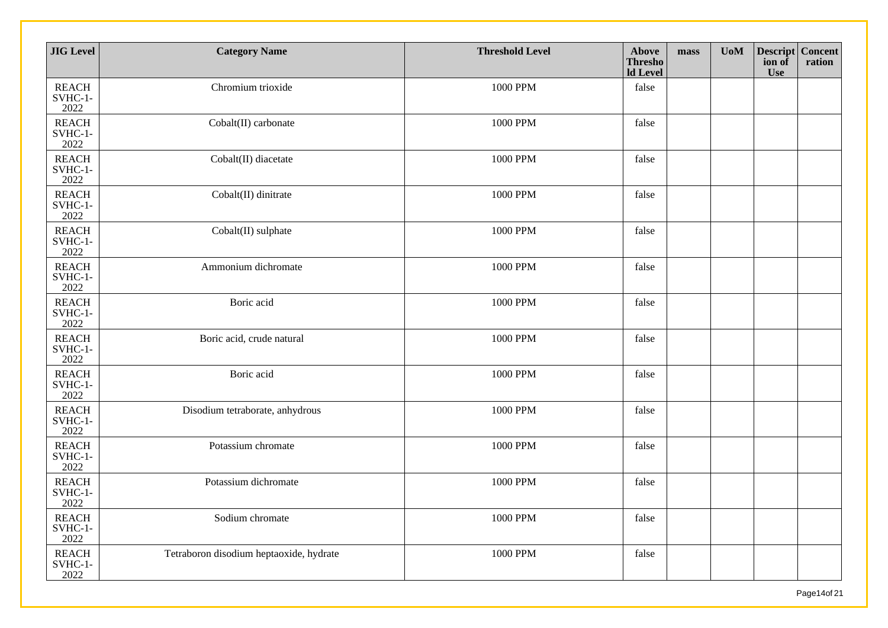| <b>JIG</b> Level                  | <b>Category Name</b>                    | <b>Threshold Level</b> | Above<br><b>Thresho</b><br><b>Id Level</b> | mass | U <sub>0</sub> M | Descript Concent<br>ion of<br><b>Use</b> | ration |
|-----------------------------------|-----------------------------------------|------------------------|--------------------------------------------|------|------------------|------------------------------------------|--------|
| <b>REACH</b><br>SVHC-1-<br>2022   | Chromium trioxide                       | 1000 PPM               | false                                      |      |                  |                                          |        |
| <b>REACH</b><br>SVHC-1-<br>2022   | Cobalt(II) carbonate                    | 1000 PPM               | false                                      |      |                  |                                          |        |
| <b>REACH</b><br>SVHC-1-<br>2022   | Cobalt(II) diacetate                    | 1000 PPM               | false                                      |      |                  |                                          |        |
| <b>REACH</b><br>SVHC-1-<br>2022   | Cobalt(II) dinitrate                    | 1000 PPM               | false                                      |      |                  |                                          |        |
| <b>REACH</b><br>SVHC-1-<br>2022   | Cobalt(II) sulphate                     | 1000 PPM               | false                                      |      |                  |                                          |        |
| <b>REACH</b><br>SVHC-1-<br>2022   | Ammonium dichromate                     | 1000 PPM               | false                                      |      |                  |                                          |        |
| <b>REACH</b><br>SVHC-1-<br>2022   | Boric acid                              | 1000 PPM               | false                                      |      |                  |                                          |        |
| <b>REACH</b><br>$SVHC-1-$<br>2022 | Boric acid, crude natural               | 1000 PPM               | false                                      |      |                  |                                          |        |
| <b>REACH</b><br>SVHC-1-<br>2022   | Boric acid                              | 1000 PPM               | false                                      |      |                  |                                          |        |
| <b>REACH</b><br>SVHC-1-<br>2022   | Disodium tetraborate, anhydrous         | 1000 PPM               | false                                      |      |                  |                                          |        |
| <b>REACH</b><br>SVHC-1-<br>2022   | Potassium chromate                      | 1000 PPM               | false                                      |      |                  |                                          |        |
| <b>REACH</b><br>SVHC-1-<br>2022   | Potassium dichromate                    | 1000 PPM               | false                                      |      |                  |                                          |        |
| <b>REACH</b><br>SVHC-1-<br>2022   | Sodium chromate                         | 1000 PPM               | false                                      |      |                  |                                          |        |
| <b>REACH</b><br>SVHC-1-<br>2022   | Tetraboron disodium heptaoxide, hydrate | 1000 PPM               | false                                      |      |                  |                                          |        |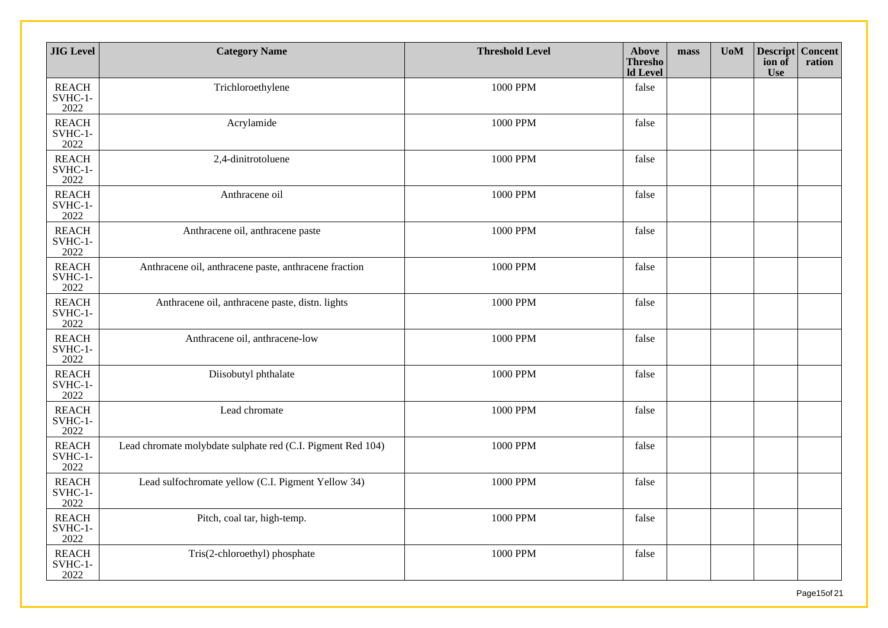| <b>JIG</b> Level                | <b>Category Name</b>                                        | <b>Threshold Level</b> | Above<br><b>Thresho</b><br><b>Id Level</b> | mass | <b>UoM</b> | Descript Concent<br>ion of<br><b>Use</b> | ration |
|---------------------------------|-------------------------------------------------------------|------------------------|--------------------------------------------|------|------------|------------------------------------------|--------|
| <b>REACH</b><br>SVHC-1-<br>2022 | Trichloroethylene                                           | 1000 PPM               | false                                      |      |            |                                          |        |
| <b>REACH</b><br>SVHC-1-<br>2022 | Acrylamide                                                  | 1000 PPM               | false                                      |      |            |                                          |        |
| <b>REACH</b><br>SVHC-1-<br>2022 | 2,4-dinitrotoluene                                          | 1000 PPM               | false                                      |      |            |                                          |        |
| <b>REACH</b><br>SVHC-1-<br>2022 | Anthracene oil                                              | 1000 PPM               | false                                      |      |            |                                          |        |
| <b>REACH</b><br>SVHC-1-<br>2022 | Anthracene oil, anthracene paste                            | 1000 PPM               | false                                      |      |            |                                          |        |
| <b>REACH</b><br>SVHC-1-<br>2022 | Anthracene oil, anthracene paste, anthracene fraction       | 1000 PPM               | false                                      |      |            |                                          |        |
| <b>REACH</b><br>SVHC-1-<br>2022 | Anthracene oil, anthracene paste, distn. lights             | 1000 PPM               | false                                      |      |            |                                          |        |
| <b>REACH</b><br>SVHC-1-<br>2022 | Anthracene oil, anthracene-low                              | 1000 PPM               | false                                      |      |            |                                          |        |
| <b>REACH</b><br>SVHC-1-<br>2022 | Diisobutyl phthalate                                        | 1000 PPM               | false                                      |      |            |                                          |        |
| <b>REACH</b><br>SVHC-1-<br>2022 | Lead chromate                                               | 1000 PPM               | false                                      |      |            |                                          |        |
| <b>REACH</b><br>SVHC-1-<br>2022 | Lead chromate molybdate sulphate red (C.I. Pigment Red 104) | 1000 PPM               | false                                      |      |            |                                          |        |
| <b>REACH</b><br>SVHC-1-<br>2022 | Lead sulfochromate yellow (C.I. Pigment Yellow 34)          | 1000 PPM               | false                                      |      |            |                                          |        |
| <b>REACH</b><br>SVHC-1-<br>2022 | Pitch, coal tar, high-temp.                                 | 1000 PPM               | false                                      |      |            |                                          |        |
| <b>REACH</b><br>SVHC-1-<br>2022 | Tris(2-chloroethyl) phosphate                               | 1000 PPM               | false                                      |      |            |                                          |        |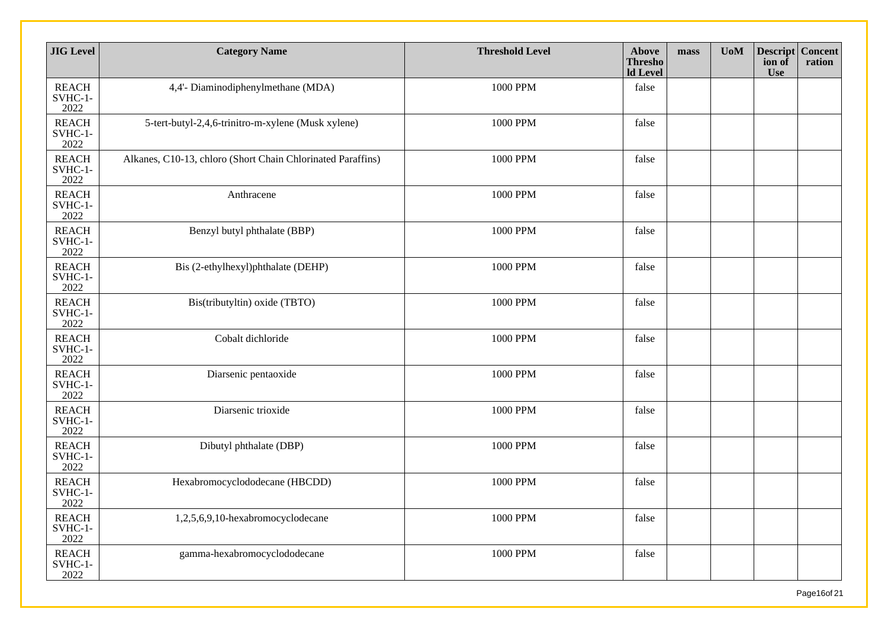| <b>JIG</b> Level                | <b>Category Name</b>                                        | <b>Threshold Level</b> | <b>Above</b><br><b>Thresho</b><br><b>Id Level</b> | mass | <b>UoM</b> | <b>Descript Concent</b><br>ion of<br><b>Use</b> | ration |
|---------------------------------|-------------------------------------------------------------|------------------------|---------------------------------------------------|------|------------|-------------------------------------------------|--------|
| <b>REACH</b><br>SVHC-1-<br>2022 | 4,4'- Diaminodiphenylmethane (MDA)                          | 1000 PPM               | false                                             |      |            |                                                 |        |
| <b>REACH</b><br>SVHC-1-<br>2022 | 5-tert-butyl-2,4,6-trinitro-m-xylene (Musk xylene)          | 1000 PPM               | false                                             |      |            |                                                 |        |
| <b>REACH</b><br>SVHC-1-<br>2022 | Alkanes, C10-13, chloro (Short Chain Chlorinated Paraffins) | 1000 PPM               | false                                             |      |            |                                                 |        |
| <b>REACH</b><br>SVHC-1-<br>2022 | Anthracene                                                  | 1000 PPM               | false                                             |      |            |                                                 |        |
| <b>REACH</b><br>SVHC-1-<br>2022 | Benzyl butyl phthalate (BBP)                                | 1000 PPM               | false                                             |      |            |                                                 |        |
| <b>REACH</b><br>SVHC-1-<br>2022 | Bis (2-ethylhexyl)phthalate (DEHP)                          | 1000 PPM               | false                                             |      |            |                                                 |        |
| <b>REACH</b><br>SVHC-1-<br>2022 | Bis(tributyltin) oxide (TBTO)                               | 1000 PPM               | false                                             |      |            |                                                 |        |
| <b>REACH</b><br>SVHC-1-<br>2022 | Cobalt dichloride                                           | 1000 PPM               | false                                             |      |            |                                                 |        |
| <b>REACH</b><br>SVHC-1-<br>2022 | Diarsenic pentaoxide                                        | 1000 PPM               | false                                             |      |            |                                                 |        |
| <b>REACH</b><br>SVHC-1-<br>2022 | Diarsenic trioxide                                          | 1000 PPM               | false                                             |      |            |                                                 |        |
| <b>REACH</b><br>SVHC-1-<br>2022 | Dibutyl phthalate (DBP)                                     | 1000 PPM               | false                                             |      |            |                                                 |        |
| <b>REACH</b><br>SVHC-1-<br>2022 | Hexabromocyclododecane (HBCDD)                              | 1000 PPM               | false                                             |      |            |                                                 |        |
| <b>REACH</b><br>SVHC-1-<br>2022 | 1,2,5,6,9,10-hexabromocyclodecane                           | 1000 PPM               | false                                             |      |            |                                                 |        |
| <b>REACH</b><br>SVHC-1-<br>2022 | gamma-hexabromocyclododecane                                | 1000 PPM               | false                                             |      |            |                                                 |        |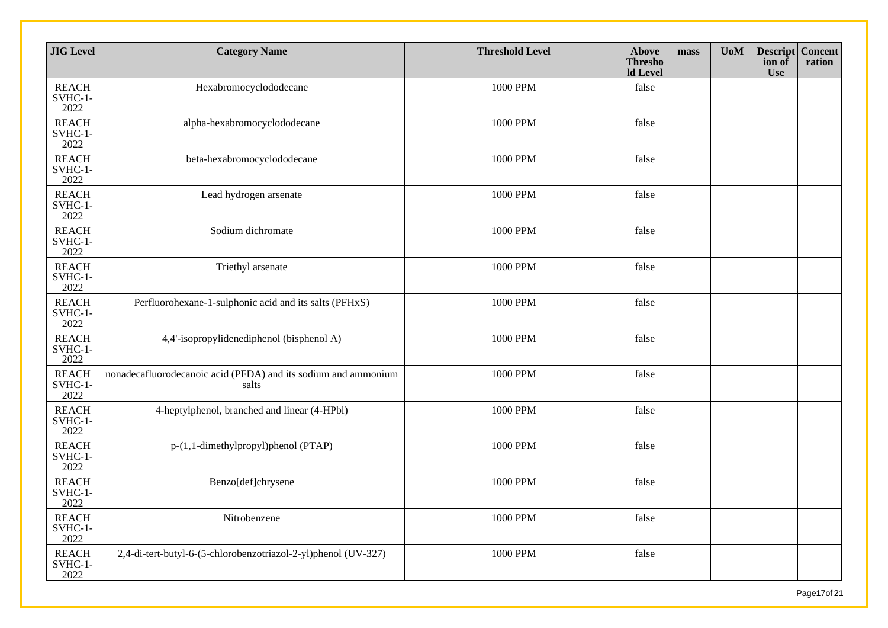| <b>JIG</b> Level                  | <b>Category Name</b>                                                    | <b>Threshold Level</b> | Above<br><b>Thresho</b><br><b>ld</b> Level | mass | <b>UoM</b> | <b>Descript Concent</b><br>ion of<br><b>Use</b> | ration |
|-----------------------------------|-------------------------------------------------------------------------|------------------------|--------------------------------------------|------|------------|-------------------------------------------------|--------|
| <b>REACH</b><br>SVHC-1-<br>2022   | Hexabromocyclododecane                                                  | 1000 PPM               | false                                      |      |            |                                                 |        |
| <b>REACH</b><br>SVHC-1-<br>2022   | alpha-hexabromocyclododecane                                            | 1000 PPM               | false                                      |      |            |                                                 |        |
| <b>REACH</b><br>$SVHC-1-$<br>2022 | beta-hexabromocyclododecane                                             | 1000 PPM               | false                                      |      |            |                                                 |        |
| <b>REACH</b><br>SVHC-1-<br>2022   | Lead hydrogen arsenate                                                  | 1000 PPM               | false                                      |      |            |                                                 |        |
| <b>REACH</b><br>SVHC-1-<br>2022   | Sodium dichromate                                                       | 1000 PPM               | false                                      |      |            |                                                 |        |
| <b>REACH</b><br>SVHC-1-<br>2022   | Triethyl arsenate                                                       | 1000 PPM               | false                                      |      |            |                                                 |        |
| <b>REACH</b><br>SVHC-1-<br>2022   | Perfluorohexane-1-sulphonic acid and its salts (PFHxS)                  | 1000 PPM               | false                                      |      |            |                                                 |        |
| <b>REACH</b><br>SVHC-1-<br>2022   | 4,4'-isopropylidenediphenol (bisphenol A)                               | 1000 PPM               | false                                      |      |            |                                                 |        |
| <b>REACH</b><br>SVHC-1-<br>2022   | nonadecafluorodecanoic acid (PFDA) and its sodium and ammonium<br>salts | 1000 PPM               | false                                      |      |            |                                                 |        |
| <b>REACH</b><br>SVHC-1-<br>2022   | 4-heptylphenol, branched and linear (4-HPbl)                            | 1000 PPM               | false                                      |      |            |                                                 |        |
| <b>REACH</b><br>SVHC-1-<br>2022   | p-(1,1-dimethylpropyl)phenol (PTAP)                                     | 1000 PPM               | false                                      |      |            |                                                 |        |
| <b>REACH</b><br>SVHC-1-<br>2022   | Benzo[def]chrysene                                                      | 1000 PPM               | false                                      |      |            |                                                 |        |
| <b>REACH</b><br>SVHC-1-<br>2022   | Nitrobenzene                                                            | 1000 PPM               | false                                      |      |            |                                                 |        |
| <b>REACH</b><br>$SVHC-1-$<br>2022 | 2,4-di-tert-butyl-6-(5-chlorobenzotriazol-2-yl)phenol (UV-327)          | 1000 PPM               | false                                      |      |            |                                                 |        |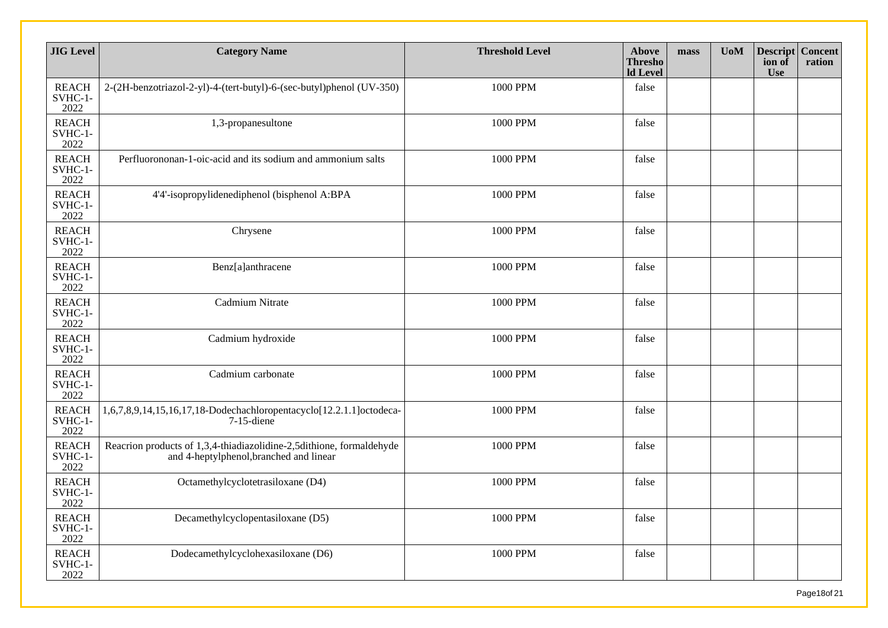| <b>JIG</b> Level                | <b>Category Name</b>                                                                                            | <b>Threshold Level</b> | Above<br><b>Thresho</b><br><b>ld</b> Level | mass | U <sub>0</sub> M | <b>Descript Concent</b><br>ion of<br><b>Use</b> | ration |
|---------------------------------|-----------------------------------------------------------------------------------------------------------------|------------------------|--------------------------------------------|------|------------------|-------------------------------------------------|--------|
| <b>REACH</b><br>SVHC-1-<br>2022 | 2-(2H-benzotriazol-2-yl)-4-(tert-butyl)-6-(sec-butyl)phenol (UV-350)                                            | 1000 PPM               | false                                      |      |                  |                                                 |        |
| <b>REACH</b><br>SVHC-1-<br>2022 | 1,3-propanesultone                                                                                              | 1000 PPM               | false                                      |      |                  |                                                 |        |
| <b>REACH</b><br>SVHC-1-<br>2022 | Perfluorononan-1-oic-acid and its sodium and ammonium salts                                                     | 1000 PPM               | false                                      |      |                  |                                                 |        |
| <b>REACH</b><br>SVHC-1-<br>2022 | 4'4'-isopropylidenediphenol (bisphenol A:BPA                                                                    | 1000 PPM               | false                                      |      |                  |                                                 |        |
| <b>REACH</b><br>SVHC-1-<br>2022 | Chrysene                                                                                                        | 1000 PPM               | false                                      |      |                  |                                                 |        |
| <b>REACH</b><br>SVHC-1-<br>2022 | Benz[a]anthracene                                                                                               | 1000 PPM               | false                                      |      |                  |                                                 |        |
| <b>REACH</b><br>SVHC-1-<br>2022 | Cadmium Nitrate                                                                                                 | 1000 PPM               | false                                      |      |                  |                                                 |        |
| <b>REACH</b><br>SVHC-1-<br>2022 | Cadmium hydroxide                                                                                               | 1000 PPM               | false                                      |      |                  |                                                 |        |
| <b>REACH</b><br>SVHC-1-<br>2022 | Cadmium carbonate                                                                                               | 1000 PPM               | false                                      |      |                  |                                                 |        |
| <b>REACH</b><br>SVHC-1-<br>2022 | 1,6,7,8,9,14,15,16,17,18-Dodechachloropentacyclo[12.2.1.1]octodeca-<br>$7-15$ -diene                            | 1000 PPM               | false                                      |      |                  |                                                 |        |
| <b>REACH</b><br>SVHC-1-<br>2022 | Reacrion products of 1,3,4-thiadiazolidine-2,5dithione, formaldehyde<br>and 4-heptylphenol, branched and linear | 1000 PPM               | false                                      |      |                  |                                                 |        |
| <b>REACH</b><br>SVHC-1-<br>2022 | Octamethylcyclotetrasiloxane (D4)                                                                               | 1000 PPM               | false                                      |      |                  |                                                 |        |
| <b>REACH</b><br>SVHC-1-<br>2022 | Decamethylcyclopentasiloxane (D5)                                                                               | 1000 PPM               | false                                      |      |                  |                                                 |        |
| <b>REACH</b><br>SVHC-1-<br>2022 | Dodecamethylcyclohexasiloxane (D6)                                                                              | 1000 PPM               | false                                      |      |                  |                                                 |        |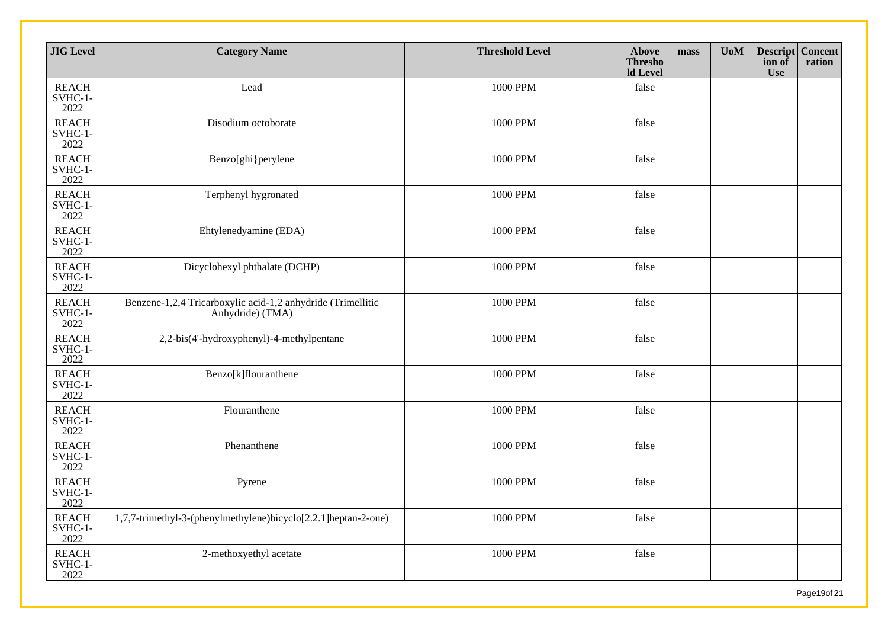| <b>JIG</b> Level                  | <b>Category Name</b>                                                            | <b>Threshold Level</b> | Above<br><b>Thresho</b><br><b>Id Level</b> | mass | <b>UoM</b> | Descript Concent<br>ion of<br><b>Use</b> | ration |
|-----------------------------------|---------------------------------------------------------------------------------|------------------------|--------------------------------------------|------|------------|------------------------------------------|--------|
| <b>REACH</b><br>SVHC-1-<br>2022   | Lead                                                                            | 1000 PPM               | false                                      |      |            |                                          |        |
| <b>REACH</b><br>SVHC-1-<br>2022   | Disodium octoborate                                                             | 1000 PPM               | false                                      |      |            |                                          |        |
| <b>REACH</b><br>SVHC-1-<br>2022   | Benzo[ghi}perylene                                                              | 1000 PPM               | false                                      |      |            |                                          |        |
| <b>REACH</b><br>SVHC-1-<br>2022   | Terphenyl hygronated                                                            | 1000 PPM               | false                                      |      |            |                                          |        |
| <b>REACH</b><br>SVHC-1-<br>2022   | Ehtylenedyamine (EDA)                                                           | 1000 PPM               | false                                      |      |            |                                          |        |
| <b>REACH</b><br>SVHC-1-<br>2022   | Dicyclohexyl phthalate (DCHP)                                                   | 1000 PPM               | false                                      |      |            |                                          |        |
| <b>REACH</b><br>SVHC-1-<br>2022   | Benzene-1,2,4 Tricarboxylic acid-1,2 anhydride (Trimellitic<br>Anhydride) (TMA) | 1000 PPM               | false                                      |      |            |                                          |        |
| <b>REACH</b><br>SVHC-1-<br>2022   | 2,2-bis(4'-hydroxyphenyl)-4-methylpentane                                       | 1000 PPM               | false                                      |      |            |                                          |        |
| <b>REACH</b><br>SVHC-1-<br>2022   | Benzo[k]flouranthene                                                            | 1000 PPM               | false                                      |      |            |                                          |        |
| <b>REACH</b><br>$SVHC-1-$<br>2022 | Flouranthene                                                                    | 1000 PPM               | false                                      |      |            |                                          |        |
| <b>REACH</b><br>SVHC-1-<br>2022   | Phenanthene                                                                     | 1000 PPM               | false                                      |      |            |                                          |        |
| <b>REACH</b><br>SVHC-1-<br>2022   | Pyrene                                                                          | 1000 PPM               | false                                      |      |            |                                          |        |
| <b>REACH</b><br>SVHC-1-<br>2022   | 1,7,7-trimethyl-3-(phenylmethylene)bicyclo[2.2.1]heptan-2-one)                  | 1000 PPM               | false                                      |      |            |                                          |        |
| <b>REACH</b><br>SVHC-1-<br>2022   | 2-methoxyethyl acetate                                                          | 1000 PPM               | false                                      |      |            |                                          |        |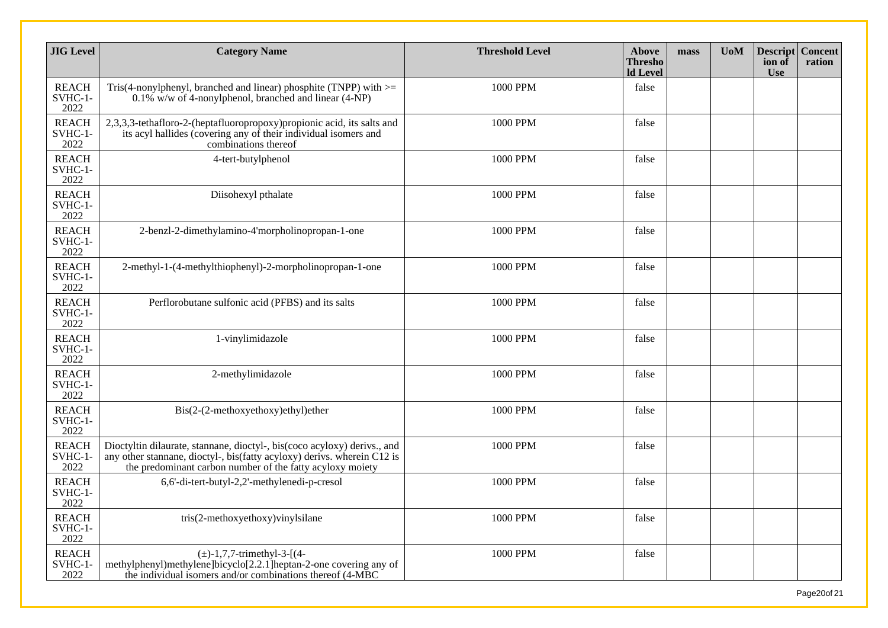| <b>JIG</b> Level                | <b>Category Name</b>                                                                                                                                                                                             | <b>Threshold Level</b> | Above<br><b>Thresho</b><br><b>Id Level</b> | mass | <b>UoM</b> | <b>Descript</b><br>ion of<br><b>Use</b> | <b>Concent</b><br>ration |
|---------------------------------|------------------------------------------------------------------------------------------------------------------------------------------------------------------------------------------------------------------|------------------------|--------------------------------------------|------|------------|-----------------------------------------|--------------------------|
| <b>REACH</b><br>SVHC-1-<br>2022 | Tris(4-nonylphenyl, branched and linear) phosphite (TNPP) with $>=$<br>$0.1\%$ w/w of 4-nonylphenol, branched and linear (4-NP)                                                                                  | 1000 PPM               | false                                      |      |            |                                         |                          |
| <b>REACH</b><br>SVHC-1-<br>2022 | 2,3,3,3-tethafloro-2-(heptafluoropropoxy)propionic acid, its salts and<br>its acyl hallides (covering any of their individual isomers and<br>combinations thereof                                                | 1000 PPM               | false                                      |      |            |                                         |                          |
| <b>REACH</b><br>SVHC-1-<br>2022 | 4-tert-butylphenol                                                                                                                                                                                               | 1000 PPM               | false                                      |      |            |                                         |                          |
| <b>REACH</b><br>SVHC-1-<br>2022 | Diisohexyl pthalate                                                                                                                                                                                              | 1000 PPM               | false                                      |      |            |                                         |                          |
| <b>REACH</b><br>SVHC-1-<br>2022 | 2-benzl-2-dimethylamino-4'morpholinopropan-1-one                                                                                                                                                                 | 1000 PPM               | false                                      |      |            |                                         |                          |
| <b>REACH</b><br>SVHC-1-<br>2022 | 2-methyl-1-(4-methylthiophenyl)-2-morpholinopropan-1-one                                                                                                                                                         | 1000 PPM               | false                                      |      |            |                                         |                          |
| <b>REACH</b><br>SVHC-1-<br>2022 | Perflorobutane sulfonic acid (PFBS) and its salts                                                                                                                                                                | 1000 PPM               | false                                      |      |            |                                         |                          |
| <b>REACH</b><br>SVHC-1-<br>2022 | 1-vinylimidazole                                                                                                                                                                                                 | 1000 PPM               | false                                      |      |            |                                         |                          |
| <b>REACH</b><br>SVHC-1-<br>2022 | 2-methylimidazole                                                                                                                                                                                                | 1000 PPM               | false                                      |      |            |                                         |                          |
| <b>REACH</b><br>SVHC-1-<br>2022 | Bis(2-(2-methoxyethoxy)ethyl)ether                                                                                                                                                                               | 1000 PPM               | false                                      |      |            |                                         |                          |
| <b>REACH</b><br>SVHC-1-<br>2022 | Dioctyltin dilaurate, stannane, dioctyl-, bis(coco acyloxy) derivs., and<br>any other stannane, dioctyl-, bis(fatty acyloxy) derivs. wherein C12 is<br>the predominant carbon number of the fatty acyloxy moiety | 1000 PPM               | false                                      |      |            |                                         |                          |
| <b>REACH</b><br>SVHC-1-<br>2022 | 6,6'-di-tert-butyl-2,2'-methylenedi-p-cresol                                                                                                                                                                     | 1000 PPM               | false                                      |      |            |                                         |                          |
| <b>REACH</b><br>SVHC-1-<br>2022 | tris(2-methoxyethoxy)vinylsilane                                                                                                                                                                                 | 1000 PPM               | false                                      |      |            |                                         |                          |
| <b>REACH</b><br>SVHC-1-<br>2022 | $(\pm)$ -1,7,7-trimethyl-3-[(4-<br>methylphenyl)methylene]bicyclo[2.2.1]heptan-2-one covering any of<br>the individual isomers and/or combinations thereof (4-MBC                                                | 1000 PPM               | false                                      |      |            |                                         |                          |